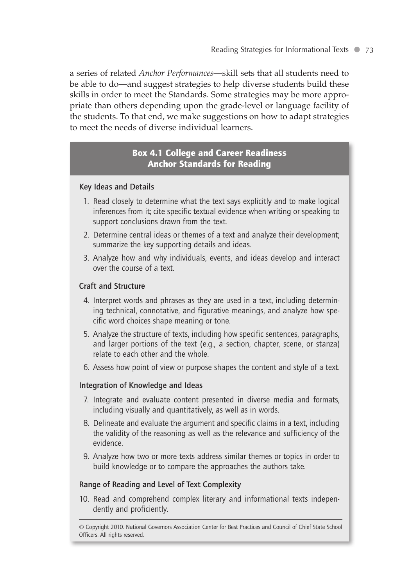a series of related *Anchor Performances—*skill sets that all students need to be able to do—and suggest strategies to help diverse students build these skills in order to meet the Standards. Some strategies may be more appropriate than others depending upon the grade-level or language facility of the students. To that end, we make suggestions on how to adapt strategies to meet the needs of diverse individual learners.

# Box 4.1 College and Career Readiness Anchor Standards for Reading

### Key Ideas and Details

- 1. Read closely to determine what the text says explicitly and to make logical inferences from it; cite specific textual evidence when writing or speaking to support conclusions drawn from the text.
- 2. Determine central ideas or themes of a text and analyze their development; summarize the key supporting details and ideas.
- 3. Analyze how and why individuals, events, and ideas develop and interact over the course of a text.

## Craft and Structure

- 4. Interpret words and phrases as they are used in a text, including determining technical, connotative, and figurative meanings, and analyze how specific word choices shape meaning or tone.
- 5. Analyze the structure of texts, including how specific sentences, paragraphs, and larger portions of the text (e.g., a section, chapter, scene, or stanza) relate to each other and the whole.
- 6. Assess how point of view or purpose shapes the content and style of a text.

### Integration of Knowledge and Ideas

- 7. Integrate and evaluate content presented in diverse media and formats, including visually and quantitatively, as well as in words.
- 8. Delineate and evaluate the argument and specific claims in a text, including the validity of the reasoning as well as the relevance and sufficiency of the evidence.
- 9. Analyze how two or more texts address similar themes or topics in order to build knowledge or to compare the approaches the authors take.

### Range of Reading and Level of Text Complexity

10. Read and comprehend complex literary and informational texts independently and proficiently.

<sup>©</sup> Copyright 2010. National Governors Association Center for Best Practices and Council of Chief State School Officers. All rights reserved.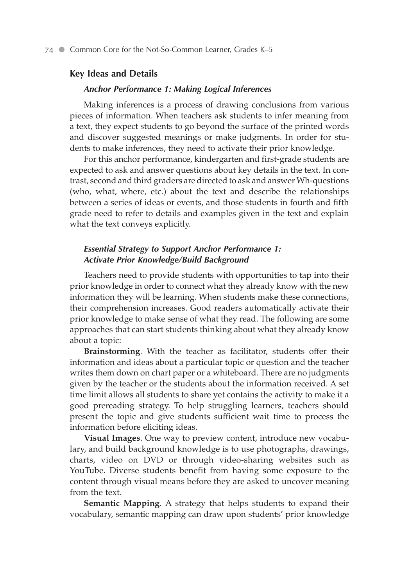# 74 Common Core for the Not-So-Common Learner, Grades K-5

### **Key Ideas and Details**

#### *Anchor Performance 1: Making Logical Inferences*

Making inferences is a process of drawing conclusions from various pieces of information. When teachers ask students to infer meaning from a text, they expect students to go beyond the surface of the printed words and discover suggested meanings or make judgments. In order for students to make inferences, they need to activate their prior knowledge.

For this anchor performance, kindergarten and first-grade students are expected to ask and answer questions about key details in the text. In contrast, second and third graders are directed to ask and answer Wh-questions (who, what, where, etc.) about the text and describe the relationships between a series of ideas or events, and those students in fourth and fifth grade need to refer to details and examples given in the text and explain what the text conveys explicitly.

## *Essential Strategy to Support Anchor Performance 1: Activate Prior Knowledge/Build Background*

Teachers need to provide students with opportunities to tap into their prior knowledge in order to connect what they already know with the new information they will be learning. When students make these connections, their comprehension increases. Good readers automatically activate their prior knowledge to make sense of what they read. The following are some approaches that can start students thinking about what they already know about a topic:

**Brainstorming**. With the teacher as facilitator, students offer their information and ideas about a particular topic or question and the teacher writes them down on chart paper or a whiteboard. There are no judgments given by the teacher or the students about the information received. A set time limit allows all students to share yet contains the activity to make it a good prereading strategy. To help struggling learners, teachers should present the topic and give students sufficient wait time to process the information before eliciting ideas.

**Visual Images**. One way to preview content, introduce new vocabulary, and build background knowledge is to use photographs, drawings, charts, video on DVD or through video-sharing websites such as YouTube. Diverse students benefit from having some exposure to the content through visual means before they are asked to uncover meaning from the text.

**Semantic Mapping**. A strategy that helps students to expand their vocabulary, semantic mapping can draw upon students' prior knowledge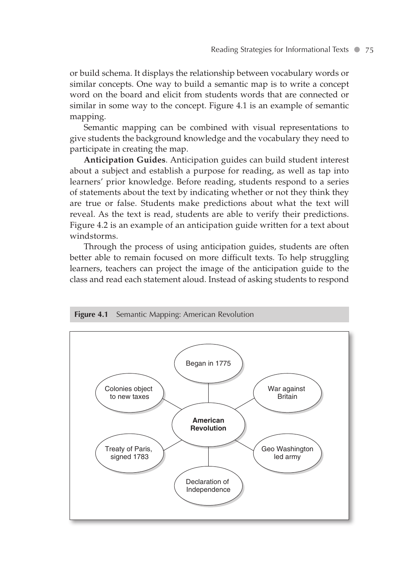or build schema. It displays the relationship between vocabulary words or similar concepts. One way to build a semantic map is to write a concept word on the board and elicit from students words that are connected or similar in some way to the concept. Figure 4.1 is an example of semantic mapping.

Semantic mapping can be combined with visual representations to give students the background knowledge and the vocabulary they need to participate in creating the map.

**Anticipation Guides**. Anticipation guides can build student interest about a subject and establish a purpose for reading, as well as tap into learners' prior knowledge. Before reading, students respond to a series of statements about the text by indicating whether or not they think they are true or false. Students make predictions about what the text will reveal. As the text is read, students are able to verify their predictions. Figure 4.2 is an example of an anticipation guide written for a text about windstorms.

Through the process of using anticipation guides, students are often better able to remain focused on more difficult texts. To help struggling learners, teachers can project the image of the anticipation guide to the class and read each statement aloud. Instead of asking students to respond



**Figure 4.1** Semantic Mapping: American Revolution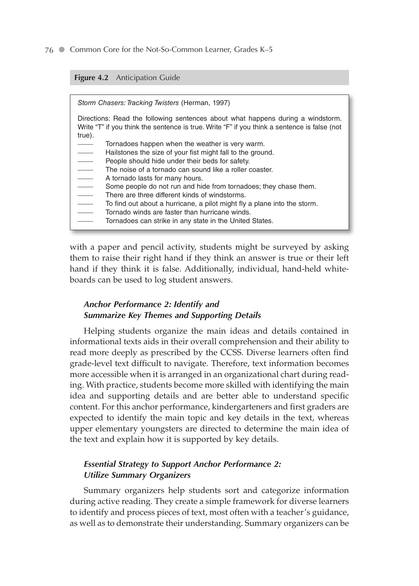<sup>76</sup> • Common Core for the Not-So-Common Learner, Grades K–5



| Storm Chasers: Tracking Twisters (Herman, 1997)                                                                                                                                           |                                                                          |  |  |
|-------------------------------------------------------------------------------------------------------------------------------------------------------------------------------------------|--------------------------------------------------------------------------|--|--|
| Directions: Read the following sentences about what happens during a windstorm.<br>Write "T" if you think the sentence is true. Write "F" if you think a sentence is false (not<br>true). |                                                                          |  |  |
|                                                                                                                                                                                           | Tornadoes happen when the weather is very warm.                          |  |  |
|                                                                                                                                                                                           | Hailstones the size of your fist might fall to the ground.               |  |  |
|                                                                                                                                                                                           | People should hide under their beds for safety.                          |  |  |
|                                                                                                                                                                                           | The noise of a tornado can sound like a roller coaster.                  |  |  |
| $\overline{\phantom{a}}$                                                                                                                                                                  | A tornado lasts for many hours.                                          |  |  |
| $\frac{1}{2}$                                                                                                                                                                             | Some people do not run and hide from tornadoes; they chase them.         |  |  |
| $\overline{\phantom{a}}$                                                                                                                                                                  | There are three different kinds of windstorms.                           |  |  |
|                                                                                                                                                                                           | To find out about a hurricane, a pilot might fly a plane into the storm. |  |  |
|                                                                                                                                                                                           | Tornado winds are faster than hurricane winds.                           |  |  |
|                                                                                                                                                                                           | Tornadoes can strike in any state in the United States.                  |  |  |

with a paper and pencil activity, students might be surveyed by asking them to raise their right hand if they think an answer is true or their left hand if they think it is false. Additionally, individual, hand-held whiteboards can be used to log student answers.

## *Anchor Performance 2: Identify and Summarize Key Themes and Supporting Details*

Helping students organize the main ideas and details contained in informational texts aids in their overall comprehension and their ability to read more deeply as prescribed by the CCSS. Diverse learners often find grade-level text difficult to navigate. Therefore, text information becomes more accessible when it is arranged in an organizational chart during reading. With practice, students become more skilled with identifying the main idea and supporting details and are better able to understand specific content. For this anchor performance, kindergarteners and first graders are expected to identify the main topic and key details in the text, whereas upper elementary youngsters are directed to determine the main idea of the text and explain how it is supported by key details.

# *Essential Strategy to Support Anchor Performance 2: Utilize Summary Organizers*

Summary organizers help students sort and categorize information during active reading. They create a simple framework for diverse learners to identify and process pieces of text, most often with a teacher's guidance, as well as to demonstrate their understanding. Summary organizers can be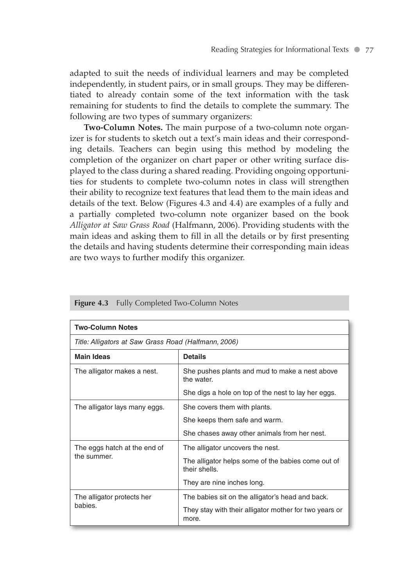adapted to suit the needs of individual learners and may be completed independently, in student pairs, or in small groups. They may be differentiated to already contain some of the text information with the task remaining for students to find the details to complete the summary. The following are two types of summary organizers:

**Two-Column Notes.** The main purpose of a two-column note organizer is for students to sketch out a text's main ideas and their corresponding details. Teachers can begin using this method by modeling the completion of the organizer on chart paper or other writing surface displayed to the class during a shared reading. Providing ongoing opportunities for students to complete two-column notes in class will strengthen their ability to recognize text features that lead them to the main ideas and details of the text. Below (Figures 4.3 and 4.4) are examples of a fully and a partially completed two-column note organizer based on the book *Alligator at Saw Grass Road* (Halfmann, 2006). Providing students with the main ideas and asking them to fill in all the details or by first presenting the details and having students determine their corresponding main ideas are two ways to further modify this organizer.

| <b>Two-Column Notes</b>                              |                                                                     |  |  |  |
|------------------------------------------------------|---------------------------------------------------------------------|--|--|--|
| Title: Alligators at Saw Grass Road (Halfmann, 2006) |                                                                     |  |  |  |
| <b>Main Ideas</b>                                    | <b>Details</b>                                                      |  |  |  |
| The alligator makes a nest.                          | She pushes plants and mud to make a nest above<br>the water.        |  |  |  |
|                                                      | She digs a hole on top of the nest to lay her eggs.                 |  |  |  |
| The alligator lays many eggs.                        | She covers them with plants.                                        |  |  |  |
|                                                      | She keeps them safe and warm.                                       |  |  |  |
|                                                      | She chases away other animals from her nest.                        |  |  |  |
| The eggs hatch at the end of                         | The alligator uncovers the nest.                                    |  |  |  |
| the summer.                                          | The alligator helps some of the babies come out of<br>their shells. |  |  |  |
|                                                      | They are nine inches long.                                          |  |  |  |
| The alligator protects her                           | The babies sit on the alligator's head and back.                    |  |  |  |
| habies.                                              | They stay with their alligator mother for two years or<br>more.     |  |  |  |

| Figure 4.3 Fully Completed Two-Column Notes |  |
|---------------------------------------------|--|
|---------------------------------------------|--|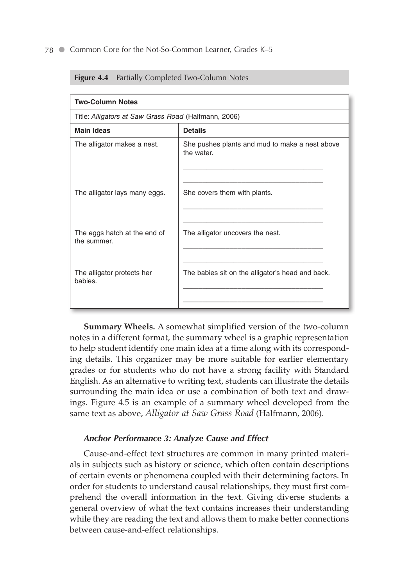# <sup>78</sup> • Common Core for the Not-So-Common Learner, Grades K–5

| <b>Two-Column Notes</b>                              |                                                              |  |  |  |
|------------------------------------------------------|--------------------------------------------------------------|--|--|--|
| Title: Alligators at Saw Grass Road (Halfmann, 2006) |                                                              |  |  |  |
| <b>Main Ideas</b>                                    | <b>Details</b>                                               |  |  |  |
| The alligator makes a nest.                          | She pushes plants and mud to make a nest above<br>the water. |  |  |  |
| The alligator lays many eggs.                        | She covers them with plants.                                 |  |  |  |
| The eggs hatch at the end of<br>the summer.          | The alligator uncovers the nest.                             |  |  |  |
| The alligator protects her<br>babies.                | The babies sit on the alligator's head and back.             |  |  |  |

**Figure 4.4** Partially Completed Two-Column Notes

**Summary Wheels.** A somewhat simplified version of the two-column notes in a different format, the summary wheel is a graphic representation to help student identify one main idea at a time along with its corresponding details. This organizer may be more suitable for earlier elementary grades or for students who do not have a strong facility with Standard English. As an alternative to writing text, students can illustrate the details surrounding the main idea or use a combination of both text and drawings. Figure 4.5 is an example of a summary wheel developed from the same text as above, *Alligator at Saw Grass Road* (Halfmann, 2006).

#### *Anchor Performance 3: Analyze Cause and Effect*

Cause-and-effect text structures are common in many printed materials in subjects such as history or science, which often contain descriptions of certain events or phenomena coupled with their determining factors. In order for students to understand causal relationships, they must first comprehend the overall information in the text. Giving diverse students a general overview of what the text contains increases their understanding while they are reading the text and allows them to make better connections between cause-and-effect relationships.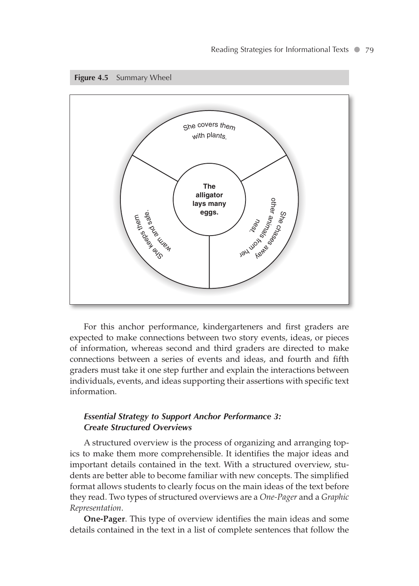



For this anchor performance, kindergarteners and first graders are expected to make connections between two story events, ideas, or pieces of information, whereas second and third graders are directed to make connections between a series of events and ideas, and fourth and fifth graders must take it one step further and explain the interactions between individuals, events, and ideas supporting their assertions with specific text information.

## *Essential Strategy to Support Anchor Performance 3: Create Structured Overviews*

A structured overview is the process of organizing and arranging topics to make them more comprehensible. It identifies the major ideas and important details contained in the text. With a structured overview, students are better able to become familiar with new concepts. The simplified format allows students to clearly focus on the main ideas of the text before they read. Two types of structured overviews are a *One-Pager* and a *Graphic Representation*.

**One-Pager**. This type of overview identifies the main ideas and some details contained in the text in a list of complete sentences that follow the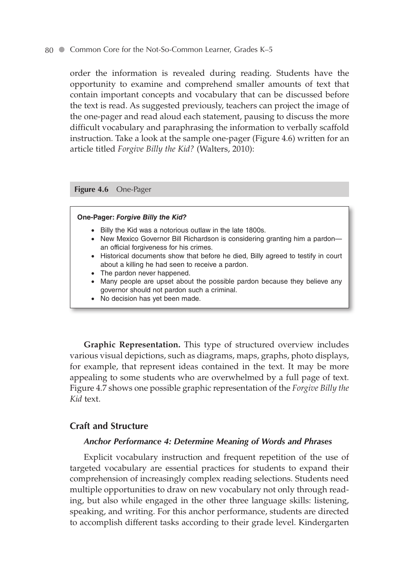# 80 Common Core for the Not-So-Common Learner, Grades K-5

order the information is revealed during reading. Students have the opportunity to examine and comprehend smaller amounts of text that contain important concepts and vocabulary that can be discussed before the text is read. As suggested previously, teachers can project the image of the one-pager and read aloud each statement, pausing to discuss the more difficult vocabulary and paraphrasing the information to verbally scaffold instruction. Take a look at the sample one-pager (Figure 4.6) written for an article titled *Forgive Billy the Kid?* (Walters, 2010):



# **One-Pager:** *Forgive Billy the Kid?*

- Billy the Kid was a notorious outlaw in the late 1800s.
- New Mexico Governor Bill Richardson is considering granting him a pardon an official forgiveness for his crimes.
- Historical documents show that before he died, Billy agreed to testify in court about a killing he had seen to receive a pardon.
- The pardon never happened.
- Many people are upset about the possible pardon because they believe any governor should not pardon such a criminal.
- No decision has yet been made.

**Graphic Representation.** This type of structured overview includes various visual depictions, such as diagrams, maps, graphs, photo displays, for example, that represent ideas contained in the text. It may be more appealing to some students who are overwhelmed by a full page of text. Figure 4.7 shows one possible graphic representation of the *Forgive Billy the Kid* text.

## **Craft and Structure**

## *Anchor Performance 4: Determine Meaning of Words and Phrases*

Explicit vocabulary instruction and frequent repetition of the use of targeted vocabulary are essential practices for students to expand their comprehension of increasingly complex reading selections. Students need multiple opportunities to draw on new vocabulary not only through reading, but also while engaged in the other three language skills: listening, speaking, and writing. For this anchor performance, students are directed to accomplish different tasks according to their grade level. Kindergarten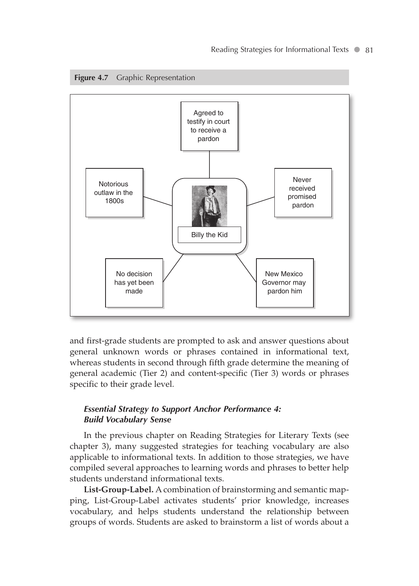

**Figure 4.7** Graphic Representation

and first-grade students are prompted to ask and answer questions about general unknown words or phrases contained in informational text, whereas students in second through fifth grade determine the meaning of general academic (Tier 2) and content-specific (Tier 3) words or phrases specific to their grade level.

## *Essential Strategy to Support Anchor Performance 4: Build Vocabulary Sense*

In the previous chapter on Reading Strategies for Literary Texts (see chapter 3), many suggested strategies for teaching vocabulary are also applicable to informational texts. In addition to those strategies, we have compiled several approaches to learning words and phrases to better help students understand informational texts.

**List-Group-Label.** A combination of brainstorming and semantic mapping, List-Group-Label activates students' prior knowledge, increases vocabulary, and helps students understand the relationship between groups of words. Students are asked to brainstorm a list of words about a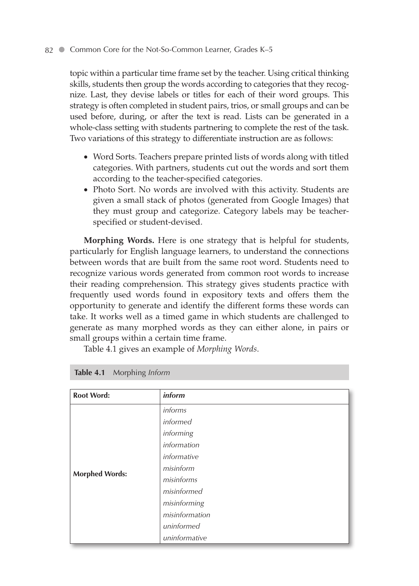# 82 Common Core for the Not-So-Common Learner, Grades K-5

topic within a particular time frame set by the teacher. Using critical thinking skills, students then group the words according to categories that they recognize. Last, they devise labels or titles for each of their word groups. This strategy is often completed in student pairs, trios, or small groups and can be used before, during, or after the text is read. Lists can be generated in a whole-class setting with students partnering to complete the rest of the task. Two variations of this strategy to differentiate instruction are as follows:

- Word Sorts. Teachers prepare printed lists of words along with titled categories. With partners, students cut out the words and sort them according to the teacher-specified categories.
- Photo Sort. No words are involved with this activity. Students are given a small stack of photos (generated from Google Images) that they must group and categorize. Category labels may be teacherspecified or student-devised.

**Morphing Words.** Here is one strategy that is helpful for students, particularly for English language learners, to understand the connections between words that are built from the same root word. Students need to recognize various words generated from common root words to increase their reading comprehension. This strategy gives students practice with frequently used words found in expository texts and offers them the opportunity to generate and identify the different forms these words can take. It works well as a timed game in which students are challenged to generate as many morphed words as they can either alone, in pairs or small groups within a certain time frame.

Table 4.1 gives an example of *Morphing Words*.

| <b>Root Word:</b>     | <i>inform</i>  |
|-----------------------|----------------|
|                       | informs        |
|                       | informed       |
|                       | informing      |
|                       | information    |
|                       | informative    |
|                       | misinform      |
| <b>Morphed Words:</b> | misinforms     |
|                       | misinformed    |
|                       | misinforming   |
|                       | misinformation |
|                       | uninformed     |
|                       | uninformative  |

**Table 4.1** Morphing *Inform*